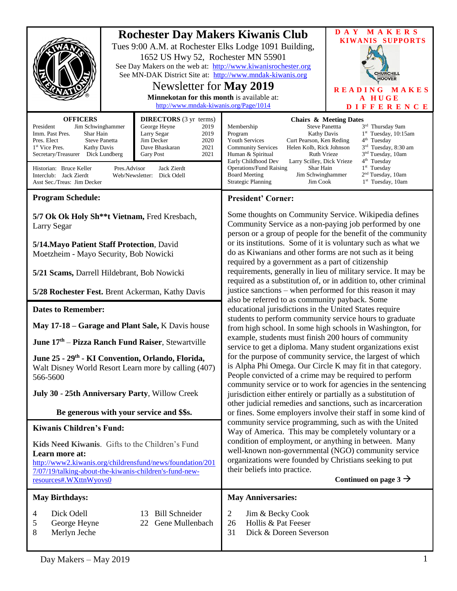| <b>OFFICERS</b>                                                                                                                                                                                                                                                                                                                                                                                                                                                     | 1652 US Hwy 52, Rochester MN 55901<br>Newsletter for May 2019<br>Minnekotan for this month is available at:<br>http://www.mndak-kiwanis.org/Page/1014<br><b>DIRECTORS</b> (3 yr terms) | <b>Rochester Day Makers Kiwanis Club</b><br>Tues 9:00 A.M. at Rochester Elks Lodge 1091 Building,<br>See Day Makers on the web at: http://www.kiwanisrochester.org<br>See MN-DAK District Site at: http://www.mndak-kiwanis.org                                                                                                                                                                                                                                                                                                                                                                                                                                                                                                                                                                                                                                                                                                                                                                                                                                                                                                                                                                                                                                                                                                                                                                                                                                                                                                                                                                                                                                                                | DAY MAKERS<br><b>KIWANIS SUPPORTS</b><br><b>CHURCHILL</b><br><b>HOOVER</b><br>READING MAKES<br>A HUGE<br><b>DIFFERENCE</b><br><b>Chairs &amp; Meeting Dates</b>                                                                                |
|---------------------------------------------------------------------------------------------------------------------------------------------------------------------------------------------------------------------------------------------------------------------------------------------------------------------------------------------------------------------------------------------------------------------------------------------------------------------|----------------------------------------------------------------------------------------------------------------------------------------------------------------------------------------|------------------------------------------------------------------------------------------------------------------------------------------------------------------------------------------------------------------------------------------------------------------------------------------------------------------------------------------------------------------------------------------------------------------------------------------------------------------------------------------------------------------------------------------------------------------------------------------------------------------------------------------------------------------------------------------------------------------------------------------------------------------------------------------------------------------------------------------------------------------------------------------------------------------------------------------------------------------------------------------------------------------------------------------------------------------------------------------------------------------------------------------------------------------------------------------------------------------------------------------------------------------------------------------------------------------------------------------------------------------------------------------------------------------------------------------------------------------------------------------------------------------------------------------------------------------------------------------------------------------------------------------------------------------------------------------------|------------------------------------------------------------------------------------------------------------------------------------------------------------------------------------------------------------------------------------------------|
| President<br>Jim Schwinghammer<br>George Heyne<br>2019<br>Imm. Past Pres.<br>Shar Hain<br>Larry Segar<br>2019<br>Jim Decker<br>Pres. Elect<br><b>Steve Panetta</b><br>2020<br>2021<br>1 <sup>st</sup> Vice Pres.<br>Kathy Davis<br>Dave Bhaskaran<br>Secretary/Treasurer Dick Lundberg<br>2021<br><b>Gary Post</b><br>Historian: Bruce Keller<br>Pres.Advisor<br>Jack Zierdt<br>Interclub: Jack Zierdt<br>Web/Newsletter: Dick Odell<br>Asst Sec./Treas: Jim Decker |                                                                                                                                                                                        | Membership<br><b>Steve Panettta</b><br>Program<br>Kathy Davis<br><b>Youth Services</b><br>Curt Pearson, Ken Reding<br>Helen Kolb, Rick Johnson<br><b>Community Services</b><br>Human & Spiritual<br>Ruth Vrieze<br>Early Childhood Dev<br>Larry Scilley, Dick Vrieze<br><b>Operations/Fund Raising</b><br>Shar Hain<br><b>Board Meeting</b><br>Jim Schwinghammer<br><b>Strategic Planning</b><br>Jim Cook                                                                                                                                                                                                                                                                                                                                                                                                                                                                                                                                                                                                                                                                                                                                                                                                                                                                                                                                                                                                                                                                                                                                                                                                                                                                                      | 3rd Thursday 9am<br>$1st$ Tuesday, 10:15am<br>$4th$ Tuesday<br>3 <sup>rd</sup> Tuesday, 8:30 am<br>3 <sup>nd</sup> Tuesday, 10am<br>4 <sup>th</sup> Tuesday<br>1 <sup>st</sup> Tuesday<br>2 <sup>nd</sup> Tuesday, 10am<br>$1st$ Tuesday, 10am |
| <b>Program Schedule:</b><br>5/7 Ok Ok Holy Sh <sup>**</sup> t Vietnam, Fred Kresbach,                                                                                                                                                                                                                                                                                                                                                                               |                                                                                                                                                                                        | <b>President' Corner:</b><br>Some thoughts on Community Service. Wikipedia defines                                                                                                                                                                                                                                                                                                                                                                                                                                                                                                                                                                                                                                                                                                                                                                                                                                                                                                                                                                                                                                                                                                                                                                                                                                                                                                                                                                                                                                                                                                                                                                                                             |                                                                                                                                                                                                                                                |
| Larry Segar<br>5/14. Mayo Patient Staff Protection, David<br>Moetzheim - Mayo Security, Bob Nowicki                                                                                                                                                                                                                                                                                                                                                                 |                                                                                                                                                                                        | Community Service as a non-paying job performed by one<br>person or a group of people for the benefit of the community<br>or its institutions. Some of it is voluntary such as what we<br>do as Kiwanians and other forms are not such as it being<br>required by a government as a part of citizenship<br>requirements, generally in lieu of military service. It may be<br>required as a substitution of, or in addition to, other criminal<br>justice sanctions - when performed for this reason it may<br>also be referred to as community payback. Some<br>educational jurisdictions in the United States require<br>students to perform community service hours to graduate<br>from high school. In some high schools in Washington, for<br>example, students must finish 200 hours of community<br>service to get a diploma. Many student organizations exist<br>for the purpose of community service, the largest of which<br>is Alpha Phi Omega. Our Circle K may fit in that category.<br>People convicted of a crime may be required to perform<br>community service or to work for agencies in the sentencing<br>jurisdiction either entirely or partially as a substitution of<br>other judicial remedies and sanctions, such as incarceration<br>or fines. Some employers involve their staff in some kind of<br>community service programming, such as with the United<br>Way of America. This may be completely voluntary or a<br>condition of employment, or anything in between. Many<br>well-known non-governmental (NGO) community service<br>organizations were founded by Christians seeking to put<br>their beliefs into practice.<br>Continued on page $3 \rightarrow$ |                                                                                                                                                                                                                                                |
| 5/21 Scams, Darrell Hildebrant, Bob Nowicki                                                                                                                                                                                                                                                                                                                                                                                                                         |                                                                                                                                                                                        |                                                                                                                                                                                                                                                                                                                                                                                                                                                                                                                                                                                                                                                                                                                                                                                                                                                                                                                                                                                                                                                                                                                                                                                                                                                                                                                                                                                                                                                                                                                                                                                                                                                                                                |                                                                                                                                                                                                                                                |
| 5/28 Rochester Fest. Brent Ackerman, Kathy Davis                                                                                                                                                                                                                                                                                                                                                                                                                    |                                                                                                                                                                                        |                                                                                                                                                                                                                                                                                                                                                                                                                                                                                                                                                                                                                                                                                                                                                                                                                                                                                                                                                                                                                                                                                                                                                                                                                                                                                                                                                                                                                                                                                                                                                                                                                                                                                                |                                                                                                                                                                                                                                                |
| <b>Dates to Remember:</b>                                                                                                                                                                                                                                                                                                                                                                                                                                           |                                                                                                                                                                                        |                                                                                                                                                                                                                                                                                                                                                                                                                                                                                                                                                                                                                                                                                                                                                                                                                                                                                                                                                                                                                                                                                                                                                                                                                                                                                                                                                                                                                                                                                                                                                                                                                                                                                                |                                                                                                                                                                                                                                                |
| May 17-18 – Garage and Plant Sale, K Davis house<br>June 17 <sup>th</sup> – Pizza Ranch Fund Raiser, Stewartville                                                                                                                                                                                                                                                                                                                                                   |                                                                                                                                                                                        |                                                                                                                                                                                                                                                                                                                                                                                                                                                                                                                                                                                                                                                                                                                                                                                                                                                                                                                                                                                                                                                                                                                                                                                                                                                                                                                                                                                                                                                                                                                                                                                                                                                                                                |                                                                                                                                                                                                                                                |
| June 25 - 29 <sup>th</sup> - KI Convention, Orlando, Florida,<br>Walt Disney World Resort Learn more by calling (407)<br>566-5600                                                                                                                                                                                                                                                                                                                                   |                                                                                                                                                                                        |                                                                                                                                                                                                                                                                                                                                                                                                                                                                                                                                                                                                                                                                                                                                                                                                                                                                                                                                                                                                                                                                                                                                                                                                                                                                                                                                                                                                                                                                                                                                                                                                                                                                                                |                                                                                                                                                                                                                                                |
| July 30 - 25th Anniversary Party, Willow Creek                                                                                                                                                                                                                                                                                                                                                                                                                      |                                                                                                                                                                                        |                                                                                                                                                                                                                                                                                                                                                                                                                                                                                                                                                                                                                                                                                                                                                                                                                                                                                                                                                                                                                                                                                                                                                                                                                                                                                                                                                                                                                                                                                                                                                                                                                                                                                                |                                                                                                                                                                                                                                                |
| Be generous with your service and \$\$s.                                                                                                                                                                                                                                                                                                                                                                                                                            |                                                                                                                                                                                        |                                                                                                                                                                                                                                                                                                                                                                                                                                                                                                                                                                                                                                                                                                                                                                                                                                                                                                                                                                                                                                                                                                                                                                                                                                                                                                                                                                                                                                                                                                                                                                                                                                                                                                |                                                                                                                                                                                                                                                |
| <b>Kiwanis Children's Fund:</b><br>Kids Need Kiwanis. Gifts to the Children's Fund<br>Learn more at:<br>http://www2.kiwanis.org/childrensfund/news/foundation/201<br>7/07/19/talking-about-the-kiwanis-children's-fund-new-<br>resources#.WXttnWyovs0                                                                                                                                                                                                               |                                                                                                                                                                                        |                                                                                                                                                                                                                                                                                                                                                                                                                                                                                                                                                                                                                                                                                                                                                                                                                                                                                                                                                                                                                                                                                                                                                                                                                                                                                                                                                                                                                                                                                                                                                                                                                                                                                                |                                                                                                                                                                                                                                                |
| <b>May Birthdays:</b>                                                                                                                                                                                                                                                                                                                                                                                                                                               |                                                                                                                                                                                        | <b>May Anniversaries:</b>                                                                                                                                                                                                                                                                                                                                                                                                                                                                                                                                                                                                                                                                                                                                                                                                                                                                                                                                                                                                                                                                                                                                                                                                                                                                                                                                                                                                                                                                                                                                                                                                                                                                      |                                                                                                                                                                                                                                                |
| Dick Odell<br>4<br>George Heyne<br>5<br>8<br>Merlyn Jeche                                                                                                                                                                                                                                                                                                                                                                                                           | <b>Bill Schneider</b><br>13<br>22 Gene Mullenbach                                                                                                                                      | $\overline{2}$<br>Jim & Becky Cook<br>Hollis & Pat Feeser<br>26<br>31<br>Dick & Doreen Severson                                                                                                                                                                                                                                                                                                                                                                                                                                                                                                                                                                                                                                                                                                                                                                                                                                                                                                                                                                                                                                                                                                                                                                                                                                                                                                                                                                                                                                                                                                                                                                                                |                                                                                                                                                                                                                                                |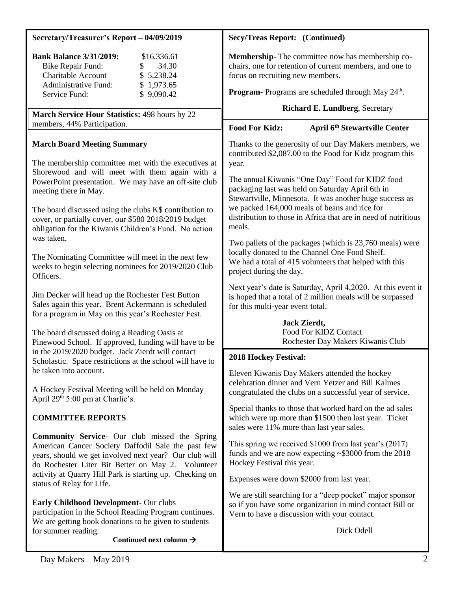| Secretary/Treasurer's Report - 04/09/2019                                                                                                                                                                                                                                                | <b>Secy/Treas Report: (Continued)</b>                                                                                                                                                                                                                                                                                                          |  |
|------------------------------------------------------------------------------------------------------------------------------------------------------------------------------------------------------------------------------------------------------------------------------------------|------------------------------------------------------------------------------------------------------------------------------------------------------------------------------------------------------------------------------------------------------------------------------------------------------------------------------------------------|--|
| <b>Bank Balance 3/31/2019:</b><br>\$16,336.61<br>34.30<br><b>Bike Repair Fund:</b><br>Charitable Account<br>\$5,238.24<br><b>Administrative Fund:</b><br>\$1,973.65<br>\$9,090.42<br>Service Fund:                                                                                       | Membership-The committee now has membership co-<br>chairs, one for retention of current members, and one to<br>focus on recruiting new members.<br>Program-Programs are scheduled through May 24 <sup>th</sup> .                                                                                                                               |  |
| March Service Hour Statistics: 498 hours by 22                                                                                                                                                                                                                                           | <b>Richard E. Lundberg, Secretary</b>                                                                                                                                                                                                                                                                                                          |  |
| members, 44% Participation.                                                                                                                                                                                                                                                              | <b>Food For Kidz:</b><br>April 6 <sup>th</sup> Stewartville Center                                                                                                                                                                                                                                                                             |  |
| <b>March Board Meeting Summary</b><br>The membership committee met with the executives at<br>Shorewood and will meet with them again with a<br>PowerPoint presentation. We may have an off-site club<br>meeting there in May.<br>The board discussed using the clubs K\$ contribution to | Thanks to the generosity of our Day Makers members, we<br>contributed \$2,087.00 to the Food for Kidz program this<br>year.<br>The annual Kiwanis "One Day" Food for KIDZ food<br>packaging last was held on Saturday April 6th in<br>Stewartville, Minnesota. It was another huge success as<br>we packed 164,000 meals of beans and rice for |  |
| cover, or partially cover, our \$580 2018/2019 budget<br>obligation for the Kiwanis Children's Fund. No action<br>was taken.                                                                                                                                                             | distribution to those in Africa that are in need of nutritious<br>meals.<br>Two pallets of the packages (which is 23,760 meals) were                                                                                                                                                                                                           |  |
| The Nominating Committee will meet in the next few<br>weeks to begin selecting nominees for 2019/2020 Club<br>Officers.                                                                                                                                                                  | locally donated to the Channel One Food Shelf.<br>We had a total of 415 volunteers that helped with this<br>project during the day.                                                                                                                                                                                                            |  |
| Jim Decker will head up the Rochester Fest Button<br>Sales again this year. Brent Ackermann is scheduled<br>for a program in May on this year's Rochester Fest.                                                                                                                          | Next year's date is Saturday, April 4,2020. At this event it<br>is hoped that a total of 2 million meals will be surpassed<br>for this multi-year event total.                                                                                                                                                                                 |  |
| The board discussed doing a Reading Oasis at<br>Pinewood School. If approved, funding will have to be                                                                                                                                                                                    | Jack Zierdt,<br>Food For KIDZ Contact<br>Rochester Day Makers Kiwanis Club                                                                                                                                                                                                                                                                     |  |
| in the 2019/2020 budget. Jack Zierdt will contact<br>Scholastic. Space restrictions at the school will have to                                                                                                                                                                           | <b>2018 Hockey Festival:</b>                                                                                                                                                                                                                                                                                                                   |  |
| be taken into account.<br>A Hockey Festival Meeting will be held on Monday<br>April 29 <sup>th</sup> 5:00 pm at Charlie's.                                                                                                                                                               | Eleven Kiwanis Day Makers attended the hockey<br>celebration dinner and Vern Yetzer and Bill Kalmes<br>congratulated the clubs on a successful year of service.                                                                                                                                                                                |  |
| <b>COMMITTEE REPORTS</b>                                                                                                                                                                                                                                                                 | Special thanks to those that worked hard on the ad sales<br>which were up more than \$1500 then last year. Ticket<br>sales were 11% more than last year sales.                                                                                                                                                                                 |  |
| <b>Community Service-</b> Our club missed the Spring<br>American Cancer Society Daffodil Sale the past few<br>years, should we get involved next year? Our club will<br>do Rochester Liter Bit Better on May 2. Volunteer                                                                | This spring we received \$1000 from last year's (2017)<br>funds and we are now expecting $\sim$ \$3000 from the 2018<br>Hockey Festival this year.                                                                                                                                                                                             |  |
| activity at Quarry Hill Park is starting up. Checking on<br>status of Relay for Life.                                                                                                                                                                                                    | Expenses were down \$2000 from last year.                                                                                                                                                                                                                                                                                                      |  |
| Early Childhood Development- Our clubs<br>participation in the School Reading Program continues.<br>We are getting book donations to be given to students<br>for summer reading.                                                                                                         | We are still searching for a "deep pocket" major sponsor<br>so if you have some organization in mind contact Bill or<br>Vern to have a discussion with your contact.<br>Dick Odell                                                                                                                                                             |  |
| Continued next column $\rightarrow$                                                                                                                                                                                                                                                      |                                                                                                                                                                                                                                                                                                                                                |  |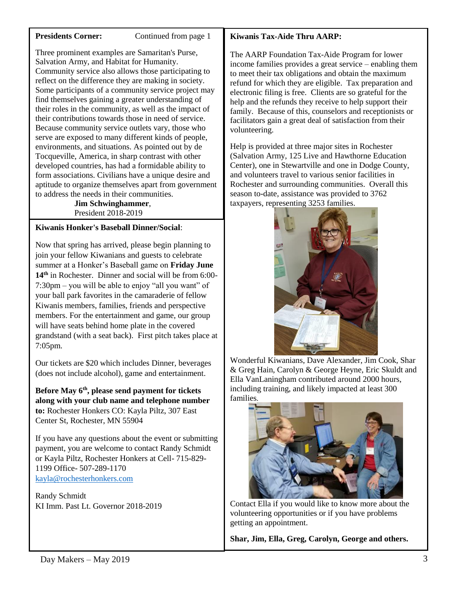**Presidents Corner:** Continued from page 1

Three prominent examples are Samaritan's Purse, Salvation Army, and Habitat for Humanity. Community service also allows those participating to reflect on the difference they are making in society. Some participants of a community service project may find themselves gaining a greater understanding of their roles in the community, as well as the impact of their contributions towards those in need of service. Because community service outlets vary, those who serve are exposed to many different kinds of people, environments, and situations. As pointed out by de Tocqueville, America, in sharp contrast with other developed countries, has had a formidable ability to form associations. Civilians have a unique desire and aptitude to organize themselves apart from government to address the needs in their communities.

 **Jim Schwinghammer**, President 2018-2019

# **Kiwanis Honker's Baseball Dinner/Social**:

Now that spring has arrived, please begin planning to join your fellow Kiwanians and guests to celebrate summer at a Honker's Baseball game on **Friday June 14th** in Rochester. Dinner and social will be from 6:00- 7:30pm – you will be able to enjoy "all you want" of your ball park favorites in the camaraderie of fellow Kiwanis members, families, friends and perspective members. For the entertainment and game, our group will have seats behind home plate in the covered grandstand (with a seat back). First pitch takes place at 7:05pm.

Our tickets are \$20 which includes Dinner, beverages (does not include alcohol), game and entertainment.

**Before May 6th, please send payment for tickets along with your club name and telephone number to:** Rochester Honkers CO: Kayla Piltz, 307 East Center St, Rochester, MN 55904

If you have any questions about the event or submitting payment, you are welcome to contact Randy Schmidt or Kayla Piltz, Rochester Honkers at Cell- 715-829- 1199 Office- 507-289-1170 [kayla@rochesterhonkers.com](mailto:kayla@rochesterhonkers.com)

Randy Schmidt KI Imm. Past Lt. Governor 2018-2019

# **Kiwanis Tax-Aide Thru AARP:**

The AARP Foundation Tax-Aide Program for lower income families provides a great service – enabling them to meet their tax obligations and obtain the maximum refund for which they are eligible. Tax preparation and electronic filing is free. Clients are so grateful for the help and the refunds they receive to help support their family. Because of this, counselors and receptionists or facilitators gain a great deal of satisfaction from their volunteering.

Help is provided at three major sites in Rochester (Salvation Army, 125 Live and Hawthorne Education Center), one in Stewartville and one in Dodge County, and volunteers travel to various senior facilities in Rochester and surrounding communities. Overall this season to-date, assistance was provided to 3762 taxpayers, representing 3253 families.



Wonderful Kiwanians, Dave Alexander, Jim Cook, Shar & Greg Hain, Carolyn & George Heyne, Eric Skuldt and Ella VanLaningham contributed around 2000 hours, including training, and likely impacted at least 300 families.



Contact Ella if you would like to know more about the volunteering opportunities or if you have problems getting an appointment.

**Shar, Jim, Ella, Greg, Carolyn, George and others.**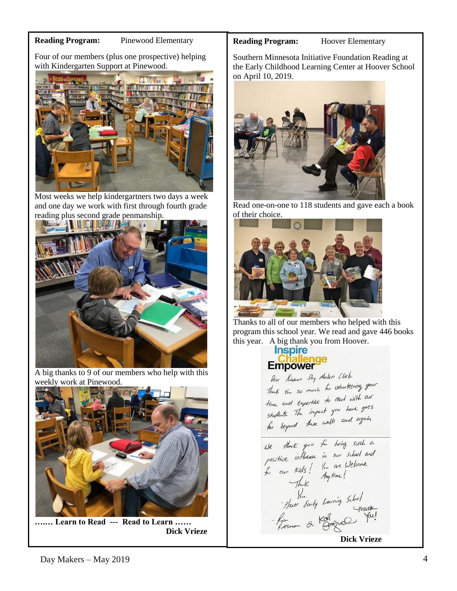## **Reading Program:** Pinewood Elementary

Four of our members (plus one prospective) helping with Kindergarten Support at Pinewood.



Most weeks we help kindergartners two days a week and one day we work with first through fourth grade reading plus second grade penmanship.



A big thanks to 9 of our members who help with this weekly work at Pinewood.



**….… Learn to Read --- Read to Learn …… Dick Vrieze**

## **Reading Program:** Hoover Elementary

Southern Minnesota Initiative Foundation Reading at the Early Childhood Learning Center at Hoover School on April 10, 2019.



Read one-on-one to 118 students and gave each a book of their choice.



Thanks to all of our members who helped with this program this school year. We read and gave 446 books this year. A big thank you from Hoover.

# **Empower**

Dear Kiesuris Day Maters Club. Near Music my have been delivering your Thank you so much in read with our<br>Hime and expertise to read with our time and expertise to have goes students the impact 7<br>for beyond these walls and again

We thank you for being such a We thank you to being such a<br>for our kids! You are Welcome<br>for our kids! You are Welcome<br>Thank Amptime!<br>These Early Learning School<br>For Early Learning School<br>For Early Learning School<br>Dick Vrieze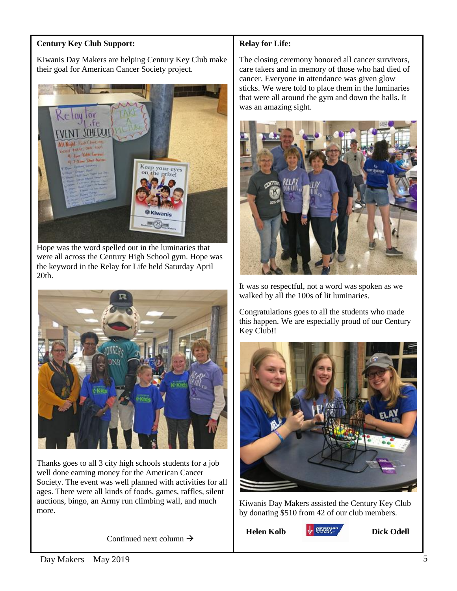# **Century Key Club Support:**

Kiwanis Day Makers are helping Century Key Club make their goal for American Cancer Society project.



Hope was the word spelled out in the luminaries that were all across the Century High School gym. Hope was the keyword in the Relay for Life held Saturday April 20th.



Thanks goes to all 3 city high schools students for a job well done earning money for the American Cancer Society. The event was well planned with activities for all ages. There were all kinds of foods, games, raffles, silent auctions, bingo, an Army run climbing wall, and much more.

Continued next column  $\rightarrow$ 

# **Relay for Life:**

The closing ceremony honored all cancer survivors, care takers and in memory of those who had died of cancer. Everyone in attendance was given glow sticks. We were told to place them in the luminaries that were all around the gym and down the halls. It was an amazing sight.



It was so respectful, not a word was spoken as we walked by all the 100s of lit luminaries.

Congratulations goes to all the students who made this happen. We are especially proud of our Century Key Club!!



Kiwanis Day Makers assisted the Century Key Club by donating \$510 from 42 of our club members.

Helen Kolb **& Society Dick Odell**